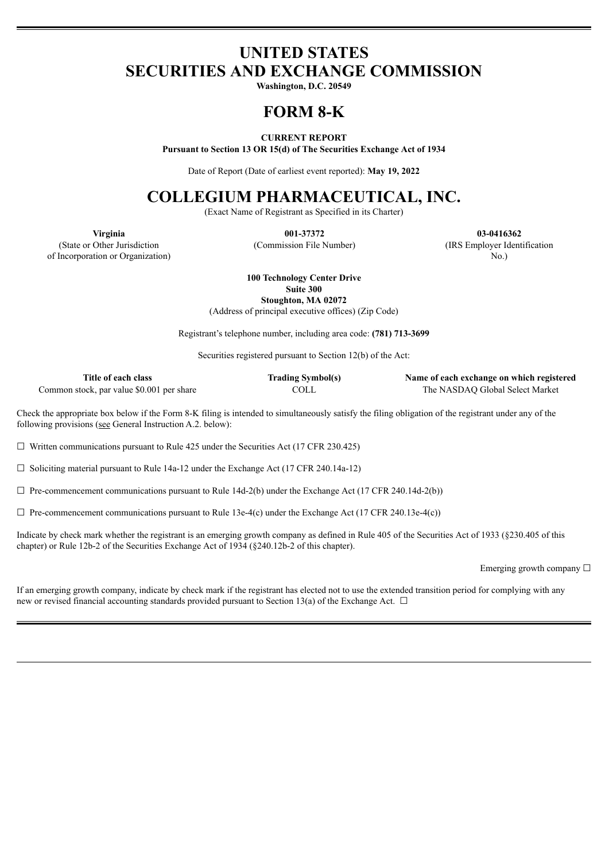## **UNITED STATES SECURITIES AND EXCHANGE COMMISSION**

**Washington, D.C. 20549**

# **FORM 8-K**

**CURRENT REPORT**

**Pursuant to Section 13 OR 15(d) of The Securities Exchange Act of 1934**

Date of Report (Date of earliest event reported): **May 19, 2022**

# **COLLEGIUM PHARMACEUTICAL, INC.**

(Exact Name of Registrant as Specified in its Charter)

(State or Other Jurisdiction of Incorporation or Organization)

**Virginia 001-37372 03-0416362** (Commission File Number) (IRS Employer Identification

No.)

**100 Technology Center Drive**

**Suite 300**

**Stoughton, MA 02072** (Address of principal executive offices) (Zip Code)

Registrant's telephone number, including area code: **(781) 713-3699**

Securities registered pursuant to Section 12(b) of the Act:

| Title of each class                       | <b>Trading Symbol(s)</b> | Name of each exchange on which registered |
|-------------------------------------------|--------------------------|-------------------------------------------|
| Common stock, par value \$0.001 per share | COLL                     | The NASDAO Global Select Market           |

Check the appropriate box below if the Form 8-K filing is intended to simultaneously satisfy the filing obligation of the registrant under any of the following provisions (see General Instruction A.2. below):

 $\Box$  Written communications pursuant to Rule 425 under the Securities Act (17 CFR 230.425)

 $\Box$  Soliciting material pursuant to Rule 14a-12 under the Exchange Act (17 CFR 240.14a-12)

 $\Box$  Pre-commencement communications pursuant to Rule 14d-2(b) under the Exchange Act (17 CFR 240.14d-2(b))

 $\Box$  Pre-commencement communications pursuant to Rule 13e-4(c) under the Exchange Act (17 CFR 240.13e-4(c))

Indicate by check mark whether the registrant is an emerging growth company as defined in Rule 405 of the Securities Act of 1933 (§230.405 of this chapter) or Rule 12b-2 of the Securities Exchange Act of 1934 (§240.12b-2 of this chapter).

Emerging growth company  $\Box$ 

If an emerging growth company, indicate by check mark if the registrant has elected not to use the extended transition period for complying with any new or revised financial accounting standards provided pursuant to Section 13(a) of the Exchange Act.  $\Box$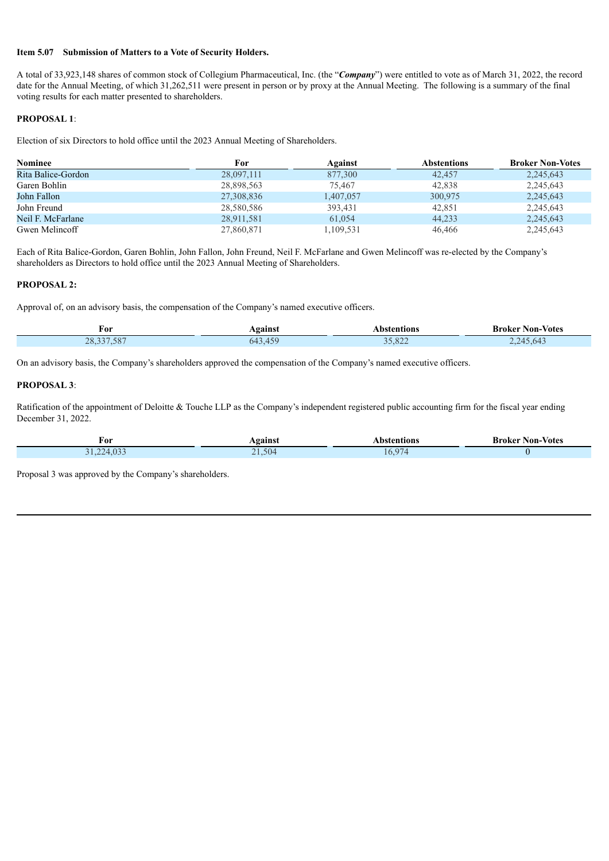#### **Item 5.07 Submission of Matters to a Vote of Security Holders.**

A total of 33,923,148 shares of common stock of Collegium Pharmaceutical, Inc. (the "*Company*") were entitled to vote as of March 31, 2022, the record date for the Annual Meeting, of which 31,262,511 were present in person or by proxy at the Annual Meeting. The following is a summary of the final voting results for each matter presented to shareholders.

### **PROPOSAL 1**:

Election of six Directors to hold office until the 2023 Annual Meeting of Shareholders.

| <b>Nominee</b>     | For        | Against   | Abstentions | <b>Broker Non-Votes</b> |
|--------------------|------------|-----------|-------------|-------------------------|
| Rita Balice-Gordon | 28,097,111 | 877,300   | 42,457      | 2,245,643               |
| Garen Bohlin       | 28,898,563 | 75.467    | 42.838      | 2,245,643               |
| John Fallon        | 27,308,836 | 1,407,057 | 300,975     | 2,245,643               |
| John Freund        | 28,580,586 | 393,431   | 42.851      | 2,245,643               |
| Neil F. McFarlane  | 28,911,581 | 61.054    | 44,233      | 2,245,643               |
| Gwen Melincoff     | 27,860,871 | 1.109.531 | 46.466      | 2.245.643               |

Each of Rita Balice-Gordon, Garen Bohlin, John Fallon, John Freund, Neil F. McFarlane and Gwen Melincoff was re-elected by the Company's shareholders as Directors to hold office until the 2023 Annual Meeting of Shareholders.

### **PROPOSAL 2:**

Approval of, on an advisory basis, the compensation of the Company's named executive officers.

| For                           | gainst | .               | von<br>-Votes<br>Kroke<br>$    -$ |
|-------------------------------|--------|-----------------|-----------------------------------|
| $\cap$<br>$\lambda$<br>$\sim$ | ıΔ     | $\sim$<br>, 022 | 04.                               |

On an advisory basis, the Company's shareholders approved the compensation of the Company's named executive officers.

#### **PROPOSAL 3**:

Ratification of the appointment of Deloitte & Touche LLP as the Company's independent registered public accounting firm for the fiscal year ending December 31, 2022.

| For                   | <b>\gainst</b> | Abstentions | <b>Broker Non-Votes</b> |
|-----------------------|----------------|-------------|-------------------------|
| 0.02<br>771<br>4.V.D. | $-1.504$       | .07<br>16.9 |                         |

Proposal 3 was approved by the Company's shareholders.